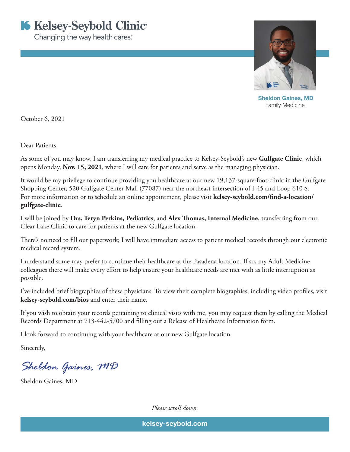



 Sheldon Gaines, MD Family Medicine

October 6, 2021

Dear Patients:

As some of you may know, I am transferring my medical practice to Kelsey-Seybold's new **Gulfgate Clinic**, which opens Monday, **Nov. 15, 2021**, where I will care for patients and serve as the managing physician.

It would be my privilege to continue providing you healthcare at our new 19,137-square-foot-clinic in the Gulfgate Shopping Center, 520 Gulfgate Center Mall (77087) near the northeast intersection of I-45 and Loop 610 S. For more information or to schedule an online appointment, please visit **kelsey-seybold.com/find-a-location/ gulfgate-clinic**.

I will be joined by **Drs. Teryn Perkins, Pediatrics**, and **Alex Thomas, Internal Medicine**, transferring from our Clear Lake Clinic to care for patients at the new Gulfgate location.

There's no need to fill out paperwork; I will have immediate access to patient medical records through our electronic medical record system.

I understand some may prefer to continue their healthcare at the Pasadena location. If so, my Adult Medicine colleagues there will make every effort to help ensure your healthcare needs are met with as little interruption as possible.

I've included brief biographies of these physicians. To view their complete biographies, including video profiles, visit **kelsey-seybold.com/bios** and enter their name.

If you wish to obtain your records pertaining to clinical visits with me, you may request them by calling the Medical Records Department at 713-442-5700 and filling out a Release of Healthcare Information form.

I look forward to continuing with your healthcare at our new Gulfgate location.

Sincerely,

*Sheldon Gaines, MD*

Sheldon Gaines, MD

*Please scroll down.*

kelsey-seybold.com